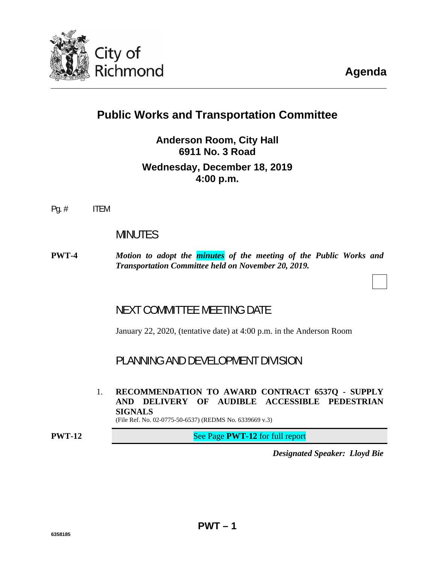

# **Public Works and Transportation Committee**

**Anderson Room, City Hall 6911 No. 3 Road Wednesday, December 18, 2019 4:00 p.m.**

Pg. # ITEM

# MINUTES

**PWT-4** *Motion to adopt the [minutes](#page-3-0) of the meeting of the Public Works and Transportation Committee held on November 20, 2019.* 

# NEXT COMMITTEE MEETING DATE

January 22, 2020, (tentative date) at 4:00 p.m. in the Anderson Room

PLANNING AND DEVELOPMENT DIVISION

**PWT – 1** 

1. **RECOMMENDATION TO AWARD CONTRACT 6537Q - SUPPLY AND DELIVERY OF AUDIBLE ACCESSIBLE PEDESTRIAN SIGNALS** 

(File Ref. No. 02-0775-50-6537) (REDMS No. 6339669 v.3)

**PWT-12** See Page **PWT-12** for full report

*Designated Speaker: Lloyd Bie*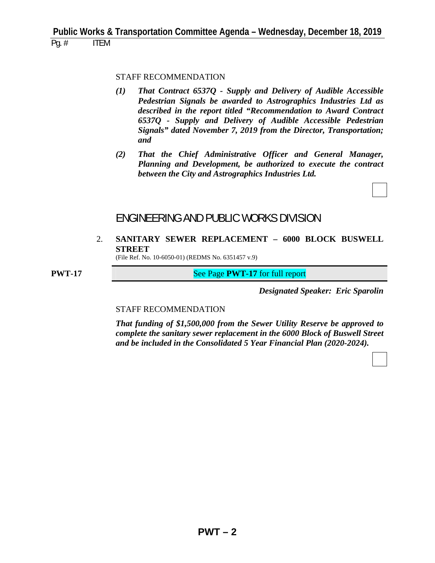#### STAFF RECOMMENDATION

- *(1) That Contract 6537Q Supply and Delivery of Audible Accessible Pedestrian Signals be awarded to Astrographics Industries Ltd as described in the report titled "Recommendation to Award Contract 6537Q - Supply and Delivery of Audible Accessible Pedestrian Signals" dated November 7, 2019 from the Director, Transportation; and*
- *(2) That the Chief Administrative Officer and General Manager, Planning and Development, be authorized to execute the contract between the City and Astrographics Industries Ltd.*

## ENGINEERING AND PUBLIC WORKS DIVISION

2. **SANITARY SEWER REPLACEMENT – 6000 BLOCK BUSWELL STREET** 

(File Ref. No. 10-6050-01) (REDMS No. 6351457 v.9)

**PWT-17** See Page **PWT-17** for full report

*Designated Speaker: Eric Sparolin*

#### STAFF RECOMMENDATION

 *That funding of \$1,500,000 from the Sewer Utility Reserve be approved to complete the sanitary sewer replacement in the 6000 Block of Buswell Street and be included in the Consolidated 5 Year Financial Plan (2020-2024).*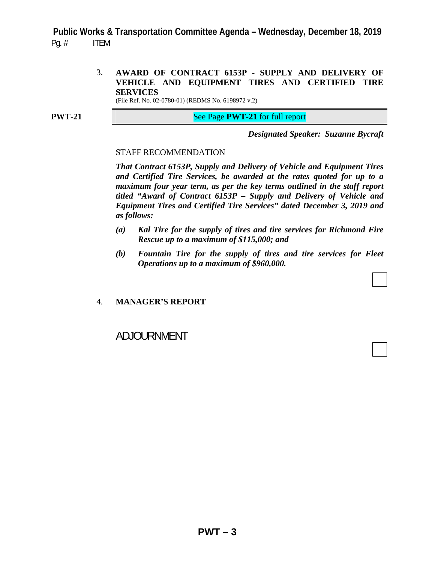3. **AWARD OF CONTRACT 6153P - SUPPLY AND DELIVERY OF VEHICLE AND EQUIPMENT TIRES AND CERTIFIED TIRE SERVICES** 

(File Ref. No. 02-0780-01) (REDMS No. 6198972 v.2)

**PWT-21** See Page **PWT-21** for full report

*Designated Speaker: Suzanne Bycraft*

#### STAFF RECOMMENDATION

 *That Contract 6153P, Supply and Delivery of Vehicle and Equipment Tires and Certified Tire Services, be awarded at the rates quoted for up to a maximum four year term, as per the key terms outlined in the staff report titled "Award of Contract 6153P – Supply and Delivery of Vehicle and Equipment Tires and Certified Tire Services" dated December 3, 2019 and as follows:* 

- *(a) Kal Tire for the supply of tires and tire services for Richmond Fire Rescue up to a maximum of \$115,000; and*
- *(b) Fountain Tire for the supply of tires and tire services for Fleet Operations up to a maximum of \$960,000.*

#### 4. **MANAGER'S REPORT**

ADJOURNMENT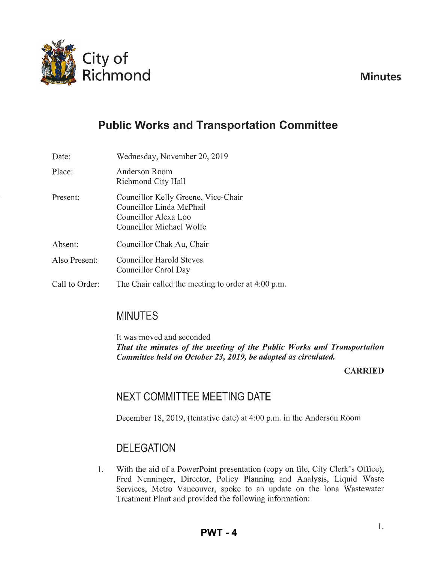<span id="page-3-0"></span>

**Minutes** 

# **Public Works and Transportation Committee**

Date: Place: Present: Absent: Wednesday, November 20, 2019 Anderson Room Richmond City Hall Councillor Kelly Greene, Vice-Chair Councillor Linda McPhail Councillor Alexa Loo Councillor Michael Wolfe Also Present: Councillor Chak Au, Chair Councillor Harold Steves Councillor Carol Day Call to Order: The Chair called the meeting to order at 4:00 p.m.

# MINUTES

It was moved and seconded *That the minutes of the meeting of the Public Works and Transportation Committee held on October 23, 2019, be adopted as circulated.* 

## CARRIED

# NEXT COMMITTEE MEETING DATE

December 18, 2019, (tentative date) at 4:00 p.m. in the Anderson Room

# **DELEGATION**

1. With the aid of a Power Point presentation (copy on file, City Clerk's Office), Fred Nenninger, Director, Policy Planning and Analysis, Liquid Waste Services, Metro Vancouver, spoke to an update on the Iona Wastewater Treatment Plant and provided the following information: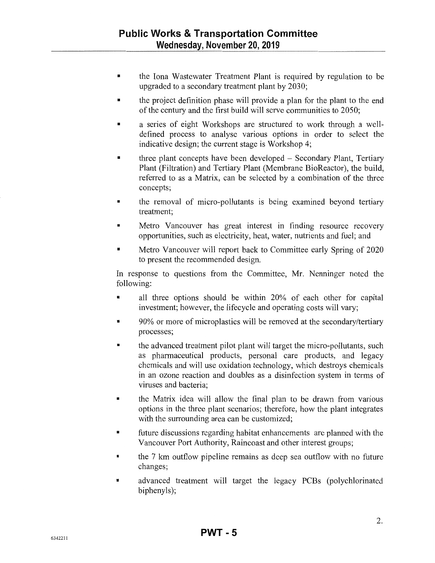- 11 the Iona Wastewater Treatment Plant is required by regulation to be upgraded to a secondary treatment plant by 2030;
- the project definition phase will provide a plan for the plant to the end of the century and the first build will serve communities to 2050;
- **11** a series of eight Workshops are structured to work through a welldefined process to analyse various options in order to select the indicative design; the current stage is Workshop 4;
- $\blacksquare$  three plant concepts have been developed  $\sim$  Secondary Plant, Tertiary Plant (Filtration) and Tertiary Plant (Membrane BioReactor), the build, referred to as a Matrix, can be selected by a combination of the three concepts;
- the removal of micro-pollutants is being examined beyond tertiary treatment;
- **Inter 11** Metro Vancouver has great interest in finding resource recovery opportunities, such as electricity, heat, water, nutrients and fuel; and
- Metro Vancouver will report back to Committee early Spring of 2020 to present the recommended design.

In response to questions from the Committee, Mr. Nenninger noted the following:

- If all three options should be within 20% of each other for capital investment; however, the lifecycle and operating costs will vary;
- 11 90% or more of microplastics will be removed at the secondary/tertiary processes;
- <sup>11</sup> the advanced treatment pilot plant will target the micro-pollutants, such as pharmaceutical products, personal care products, and legacy chemicals and will use oxidation technology, which destroys chemicals in an ozone reaction and doubles as a disinfection system in terms of viruses and bacteria;
- **111** the Matrix idea will allow the final plan to be drawn from various options in the three plant scenarios; therefore, how the plant integrates with the surrounding area can be customized;
- **111** future discussions regarding habitat enhancements are planned with the Vancouver Port Authority, Raincoast and other interest groups;
- $\blacksquare$  the 7 km outflow pipeline remains as deep sea outflow with no future changes;
- **11** advanced treatment will target the legacy PCBs (polychlorinated biphenyls);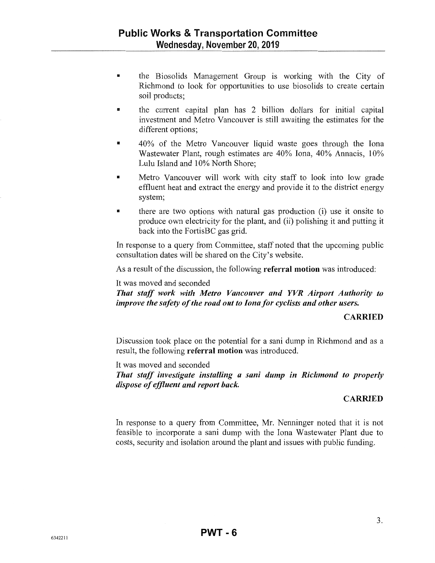- the Biosolids Management Group is working with the City of Richmond to look for opportunities to use biosolids to create certain soil products;
- the cunent capital plan has 2 billion dollars for initial capital investment and Metro Vancouver is still awaiting the estimates for the different options:
- 40% of the Metro Vancouver liquid waste goes through the Iona Wastewater Plant, rough estimates are 40% Iona, 40% Annacis, 10% Lulu Island and 10% North Shore;
- Metro Vancouver will work with city staff to look into low grade effluent heat and extract the energy and provide it to the district energy system;
- **•** there are two options with natural gas production (i) use it onsite to produce own electricity for the plant, and (ii) polishing it and putting it back into the FortisBC gas grid.

In response to a query from Committee, staff noted that the upcoming public consultation dates will be shared on the City's website.

As a result of the discussion, the following **referral motion** was introduced:

#### It was moved and seconded

*That staff work with Metro Vancouver and YVR Airport Authority to improve the safety of the road out to Iona for cyclists and other users.* 

#### **CARRIED**

Discussion took place on the potential for a sani dump in Richmond and as a result, the following **referral motion** was introduced.

It was moved and seconded

*That staff investigate installing a sani dump in Richmond to properly dispose of effluent and report back.* 

#### **CARRIED**

In response to a query from Committee, Mr. Nenninger noted that it is not feasible to incorporate a sani dump with the Iona Wastewater Plant due to costs, security and isolation around the plant and issues with public funding.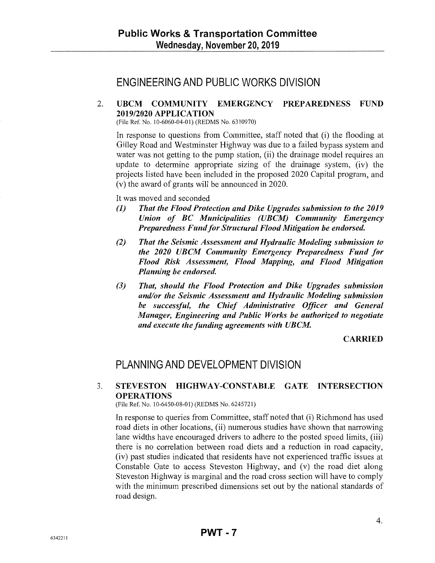# ENGINEERING AND PUBLIC WORKS DIVISION

## 2. UBCM COMMUNITY EMERGENCY PREPAREDNESS FUND 2019/2020 APPLICATION

(File Ref. No. 10-6060-04-01) (REDMS No. 6310970)

In response to questions from Committee, staff noted that (i) the flooding at Gilley Road and Westminster Highway was due to a failed bypass system and water was not getting to the pump station, (ii) the drainage model requires an update to determine appropriate sizing of the drainage system, (iv) the projects listed have been included in the proposed 2020 Capital program, and (v) the award of grants will be announced in 2020.

It was moved and seconded

- *(1) That the Flood Protection and Dike Upgrades submission to the 2019 Union of BC Municipalities (UBCM) Community Emergency Preparedness Fund for Structural Flood Mitigation be endorsed.*
- *(2) That the Seismic Assessment and Hydraulic Modeling submission to the 2020 UBCM Community Emergency Preparedness Fund for Flood Risk Assessment, Flood Mapping, and Flood Mitigation Planning be endorsed.*
- *(3) That, should the Flood Protection and Dike Upgrades submission and/or the Seismic Assessment and Hydraulic Modeling submission be successful, the Chief Administrative Officer and General Manager, Engineering and Public Works be authorized to negotiate and execute the funding agreements with UBCM.*

#### **CARRIED**

# PLANNING AND DEVELOPMENT DIVISION

### 3. STEVESTON HIGHWAY-CONSTABLE GATE INTERSECTION OPERATIONS

(File Ref. No. 10-6450-08-01) (REDMS No. 6245721)

In response to queries from Committee, staff noted that (i) Richmond has used road diets in other locations, (ii) numerous studies have shown that narrowing lane widths have encouraged drivers to adhere to the posted speed limits, (iii) there is no correlation between road diets and a reduction in road capacity, (iv) past studies indicated that residents have not experienced traffic issues at Constable Gate to access Steveston Highway, and (v) the road diet along Steveston Highway is marginal and the road cross section will have to comply with the minimum prescribed dimensions set out by the national standards of road design.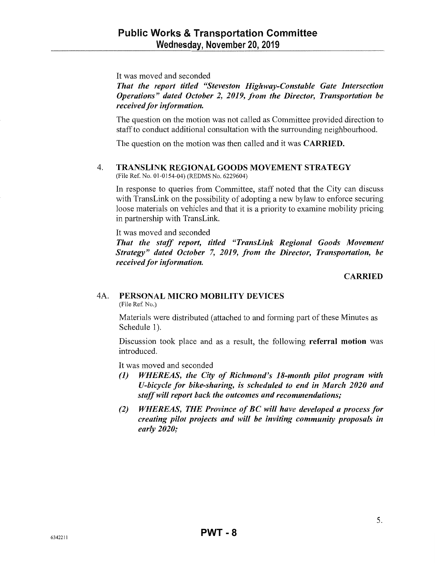It was moved and seconded

*That the report titled "Steveston Highway-Constable Gate Intersection Operations" dated October 2, 2019, from the Director, Transportation be received for information.* 

The question on the motion was not called as Committee provided direction to staff to conduct additional consultation with the surrounding neighbourhood.

The question on the motion was then called and it was CARRIED.

### 4. TRANSLINK REGIONAL GOODS MOVEMENT STRATEGY

(File Ref. No. 01-0154-04) (REDMS No. 6229604)

In response to queries from Committee, staff noted that the City can discuss with TransLink on the possibility of adopting a new bylaw to enforce securing loose materials on vehicles and that it is a priority to examine mobility pricing in partnership with TransLink.

It was moved and seconded

*That the staff report, titled "TransLink Regional Goods Movement Strategy" dated October* 7, *2019, from the Director, Transportation, be received for information.* 

#### **CARRIED**

#### 4A. PERSONAL MICRO MOBILITY DEVICES

(File Ref. No.)

Materials were distributed (attached to and forming part of these Minutes as Schedule 1).

Discussion took place and as a result, the following referral motion was introduced.

It was moved and seconded

- *(1) WHEREAS, the City of Richmond's 18-month pilot program with U-bicycle for bike-sharing, is scheduled to end in March 2020 and staff will report back the outcomes and recommendations;*
- *(2) WHEREAS, THE Province of BC will have developed a process for creating pilot projects and will be inviting community proposals in early 2020;*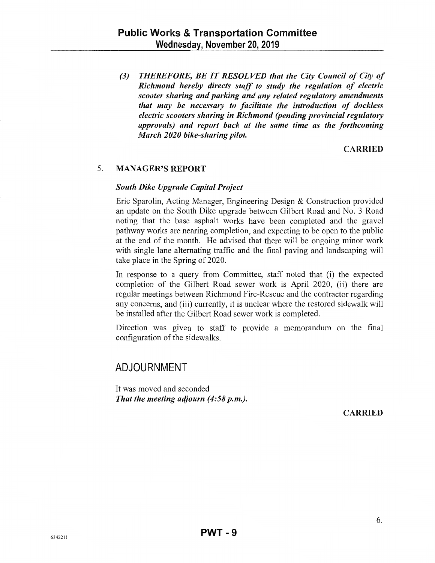*(3) THEREFORE, BE IT RESOLVED that the City Council of City of Richmond hereby directs staff to study the regulation of electric scooter sharing and parking and any related regulatory amendments that may be necessary to facilitate the introduction of dockless electric scooters sharing in Richmond (pending provincial regulatory approvals) and report back at the same time as the forthcoming March 2020 bike-sharing pilot.* 

## CARRIED

## 5. MANAGER'S REPORT

### *South Dike Upgrade Capital Project*

Eric Sparolin, Acting Manager, Engineering Design & Construction provided an update on the South Dike upgrade between Gilbert Road and No. 3 Road noting that the base asphalt works have been completed and the gravel pathway works are nearing completion, and expecting to be open to the public at the end of the month. He advised that there will be ongoing minor work with single lane alternating traffic and the final paving and landscaping will take place in the Spring of 2020.

In response to a query from Committee, staff noted that (i) the expected completion of the Gilbert Road sewer work is April 2020, (ii) there are regular meetings between Richmond Fire-Rescue and the contractor regarding any concerns, and (iii) currently, it is unclear where the restored sidewalk will be installed after the Gilbert Road sewer work is completed.

Direction was given to staff to provide a memorandum on the final configuration of the sidewalks.

# ADJOURNMENT

It was moved and seconded *That the meeting adjourn (4:58 p.m.).* 

CARRIED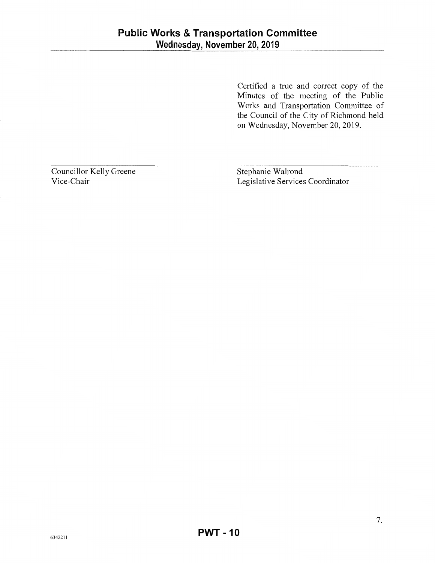Certified a true and conect copy of the Minutes of the meeting of the Public Works and Transportation Committee of the Council of the City of Richmond held on Wednesday, November 20, 2019.

Councillor Kelly Greene Vice-Chair

Stephanie Walrond Legislative Services Coordinator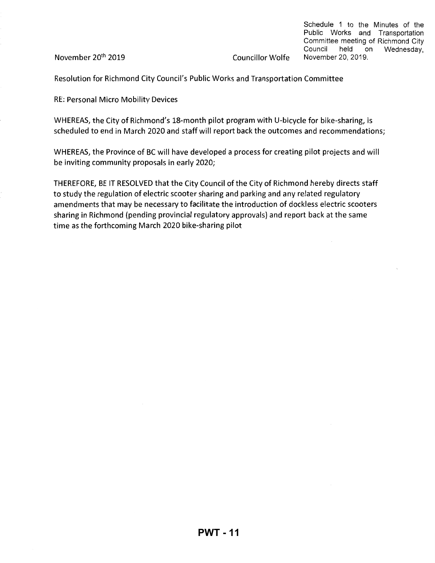November 20th 2019

Schedule 1 to the Minutes of the Public Works and Transportation Committee meeting of Richmond City Council held on Wednesday, Councillor Wolfe November 20, 2019.

Resolution for Richmond City Council's Public Works and Transportation Committee

RE: Personal Micro Mobility Devices

WHEREAS, the City of Richmond's 18-month pilot program with U-bicycle for bike-sharing, is scheduled to end in March 2020 and staff will report back the outcomes and recommendations;

WHEREAS, the Province of BC will have developed a process for creating pilot projects and will be inviting community proposals in early 2020;

THEREFORE, BE IT RESOLVED that the City Council of the City of Richmond hereby directs staff to study the regulation of electric scooter sharing and parking and any related regulatory amendments that may be necessary to facilitate the introduction of dockless electric scooters sharing in Richmond (pending provincial regulatory approvals) and report back at the same time as the forthcoming March 2020 bike-sharing pilot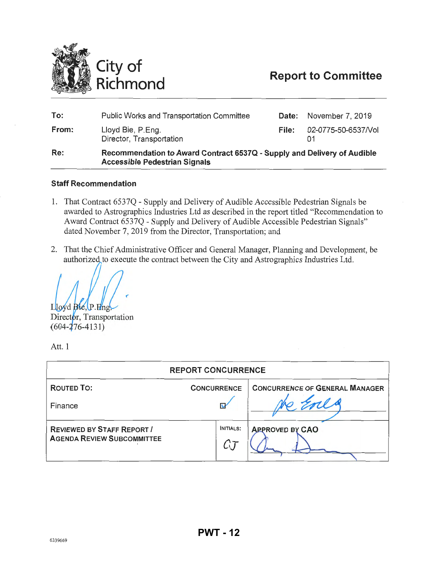<span id="page-11-0"></span>

# **Report to Committee**

| To:   | <b>Public Works and Transportation Committee</b>                                                                | Date: | November 7, 2019    |
|-------|-----------------------------------------------------------------------------------------------------------------|-------|---------------------|
| From: | Lloyd Bie, P.Eng.<br>Director, Transportation                                                                   | File: | 02-0775-50-6537/Vol |
| Re:   | Recommendation to Award Contract 6537Q - Supply and Delivery of Audible<br><b>Accessible Pedestrian Signals</b> |       |                     |

#### **Staff Recommendation**

- 1. That Contract 653 7Q Supply and Delivery of Audible Accessible Pedestrian Signals be awarded to Astrographics Industries Ltd as described in the report titled "Recommendation to Award Contract 6537Q- Supply and Delivery of Audible Accessible Pedestrian Signals" dated November 7, 2019 from the Director, Transportation; and
- 2. That the Chief Administrative Officer and General Manager, Planning and Development, be authorized to execute the contract between the City and Astrographics Industries Ltd.

 $L$ lovd  $B(e, P, F)$ ng

Director, Transportation  $(604 - 276 - 4131)$ 

Att. 1

| <b>REPORT CONCURRENCE</b>                                              |                    |                                |  |  |  |
|------------------------------------------------------------------------|--------------------|--------------------------------|--|--|--|
| <b>ROUTED TO:</b>                                                      | <b>CONCURRENCE</b> | CONCURRENCE OF GENERAL MANAGER |  |  |  |
| Finance                                                                | N                  |                                |  |  |  |
| <b>REVIEWED BY STAFF REPORT /</b><br><b>AGENDA REVIEW SUBCOMMITTEE</b> | INITIALS:<br>C     | <b>APPROVEL BY CAO</b>         |  |  |  |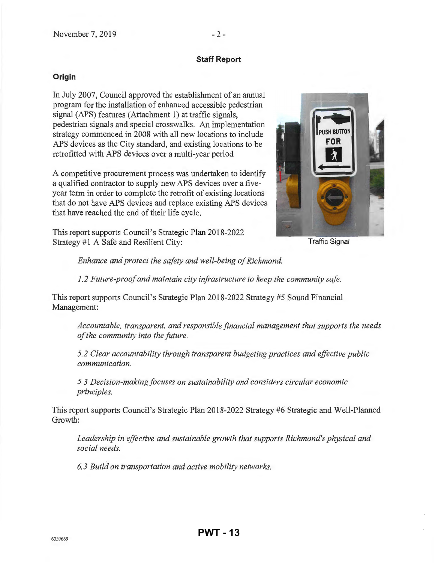## **Staff Report**

## **Origin**

In July 2007, Council approved the establishment of an annual program for the installation of enhanced accessible pedestrian signal (APS) features (Attachment 1) at traffic signals, pedestrian signals and special crosswalks. An implementation strategy commenced in 2008 with all new locations to include APS devices as the City standard, and existing locations to be retrofitted with APS devices over a multi-year period

A competitive procurement process was undertaken to identify a qualified contractor to supply new APS devices over a fiveyear term in order to complete the retrofit of existing locations that do not have APS devices and replace existing APS devices that have reached the end of their life cycle.

This report supports Council's Strategic Plan 2018-2022 Strategy #1 A Safe and Resilient City:



Traffic Signal

*Enhance and protect the safety and well-being of Richmond.* 

*1.2 Future-proof and maintain city infrastructure to keep the community safe.* 

This report supports Council's Strategic Plan 2018-2022 Strategy #5 Sound Financial Management:

*Accountable, transparent, and responsible financial management that supports the needs ofthe community into the future.* 

*5. 2 Clear accountability through transparent budgeting practices and effective public communication.* 

*5.3 Decision-making focuses on sustainability and considers circular economic principles.* 

This report supports Council's Strategic Plan 2018-2022 Strategy #6 Strategic and Well-Planned Growth:

*Leadership in effective and sustainable growth that supports Richmond's physical and social needs.* 

*6. 3 Build on transportation and active mobility networks.*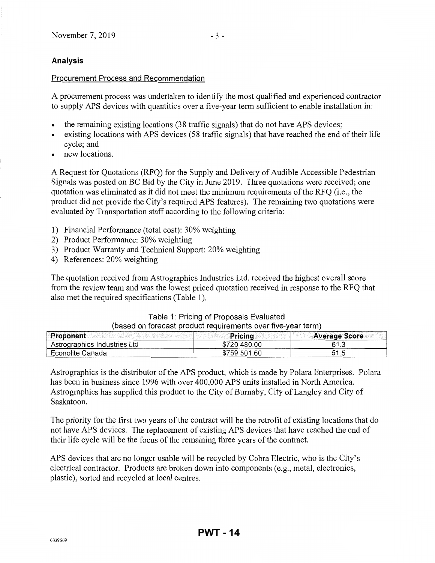## **Analysis**

#### Procurement Process and Recommendation

A procurement process was undertaken to identify the most qualified and experienced contractor to supply APS devices with quantities over a five-year term sufficient to enable installation in:

- the remaining existing locations (38 traffic signals) that do not have APS devices;
- existing locations with APS devices (58 traffic signals) that have reached the end of their life cycle; and
- new locations.

A Request for Quotations (RFQ) for the Supply and Delivery of Audible Accessible Pedestrian Signals was posted on BC Bid by the City in June 2019. Three quotations were received; one quotation was eliminated as it did not meet the minimum requirements of the RFQ (i.e., the product did not provide the City's required APS features). The remaining two quotations were evaluated by Transportation staff according to the following criteria:

- 1) Financial Performance (total cost): 30% weighting
- 2) Product Performance: 30% weighting
- 3) Product Warranty and Technical Support: 20% weighting
- 4) References: 20% weighting

The quotation received from Astrographics Industries Ltd. received the highest overall score from the review team and was the lowest priced quotation received in response to the RFQ that also met the required specifications (Table 1).

| Table 1: Pricing of Proposals Evaluated                      |                                                                                                                |  |
|--------------------------------------------------------------|----------------------------------------------------------------------------------------------------------------|--|
| (based on forecast product requirements over five-year term) |                                                                                                                |  |
|                                                              | in the second contract of the second contract of the second second second contract of the second second second |  |

| Proponent                    | <b>Pricing</b> | <b>Average Score</b> |
|------------------------------|----------------|----------------------|
| Astrographics Industries Ltd | \$720,480.00   | 61.3                 |
| Econolite Canada             | \$759,501.60   | 51.5                 |

Astrographics is the distributor of the APS product, which is made by Polara Enterprises. Polara has been in business since 1996 with over 400,000 APS units installed in North America. Astrographics has supplied this product to the City of Burnaby, City of Langley and City of Saskatoon.

The priority for the first two years of the contract will be the retrofit of existing locations that do not have APS devices. The replacement of existing APS devices that have reached the end of their life cycle will be the focus of the remaining three years of the contract.

APS devices that are no longer usable will be recycled by Cobra Electric, who is the City's electrical contractor. Products are broken down into components (e.g., metal, electronics, plastic), sorted and recycled at local centres.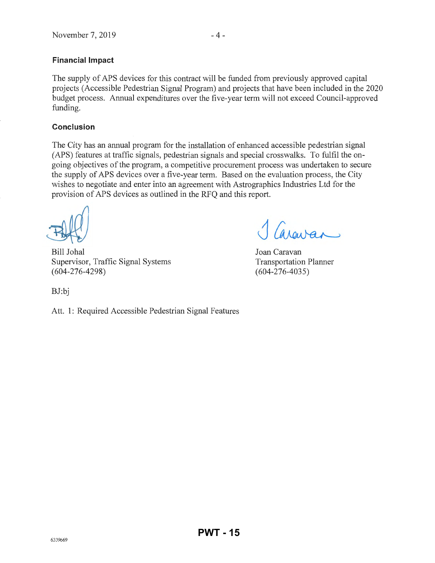## **Financial Impact**

The supply of APS devices for this contract will be funded from previously approved capital projects (Accessible Pedestrian Signal Program) and projects that have been included in the 2020 budget process. Annual expenditures over the five-year term will not exceed Council-approved funding.

#### **Conclusion**

The City has an annual program for the installation of enhanced accessible pedestrian signal (APS) features at traffic signals, pedestrian signals and special crosswalks. To fulfil the ongoing objectives of the program, a competitive procurement process was undertaken to secure the supply of APS devices over a five-year term. Based on the evaluation process, the City wishes to negotiate and enter into an agreement with Astrographics Industries Ltd for the provision of APS devices as outlined in the RFQ and this report.

Bill Johal Supervisor, Traffic Signal Systems (604-276-4298)

areuran

Joan Caravan Transportation Planner (604-276-4035)

BJ:bj

Att. 1: Required Accessible Pedestrian Signal Features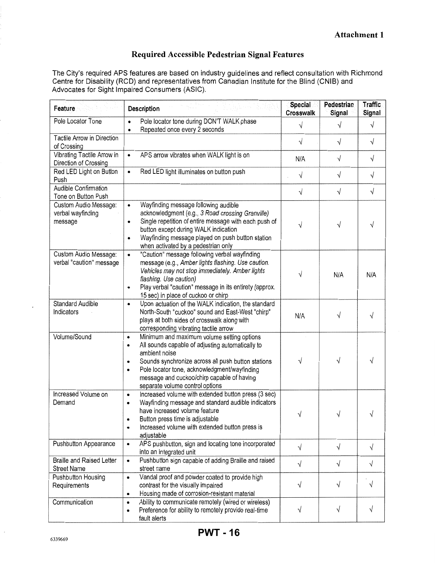## **Required Accessible Pedestrian Signal Features**

The City's required APS features are based on industry guidelines and reflect consultation with Richmond Centre for Disability (RCD) and representatives from Canadian Institute for the Blind (CNIB) and Advocates for Sight Impaired Consumers (ASIC).

| <b>Description</b><br>Feature                          |                                                                                                                                                                                                                                                                                                                                                    |            | Pedestrian<br>Signal | <b>Traffic</b><br>Signal |
|--------------------------------------------------------|----------------------------------------------------------------------------------------------------------------------------------------------------------------------------------------------------------------------------------------------------------------------------------------------------------------------------------------------------|------------|----------------------|--------------------------|
| Pole Locator Tone                                      | Pole locator tone during DON'T WALK phase<br>Repeated once every 2 seconds<br>$\bullet$                                                                                                                                                                                                                                                            | $\sqrt{}$  | V                    | $\sqrt{}$                |
| Tactile Arrow in Direction<br>of Crossing              |                                                                                                                                                                                                                                                                                                                                                    | $\sqrt{}$  | $\sqrt{}$            | $\sqrt{}$                |
| Vibrating Tactile Arrow in<br>Direction of Crossing    | APS arrow vibrates when WALK light is on<br>$\bullet$                                                                                                                                                                                                                                                                                              | N/A        | $\sqrt{}$            | $\sqrt{}$                |
| Red LED Light on Button<br>Push                        | Red LED light illuminates on button push<br>$\bullet$                                                                                                                                                                                                                                                                                              | $\sqrt{}$  | $\sqrt{}$            | $\sqrt{}$                |
| Audible Confirmation<br>Tone on Button Push            |                                                                                                                                                                                                                                                                                                                                                    | $\sqrt{}$  | $\sqrt{}$            | $\sqrt{}$                |
| Custom Audio Message:<br>verbal wayfinding<br>message  | Wayfinding message following audible<br>$\bullet$<br>acknowledgment (e.g., 3 Road crossing Granville)<br>Single repetition of entire message with each push of<br>$\bullet$<br>button except during WALK indication<br>Wayfinding message played on push button station<br>when activated by a pedestrian only                                     | V          | $\sqrt{}$            | V                        |
| Custom Audio Message:<br>verbal "caution" message      | "Caution" message following verbal wayfinding<br>$\bullet$<br>message (e.g., Amber lights flashing. Use caution.<br>Vehicles may not stop immediately. Amber lights<br>flashing. Use caution)<br>Play verbal "caution" message in its entirety (approx.<br>$\bullet$<br>15 sec) in place of cuckoo or chirp                                        | V          | N/A                  | N/A                      |
| <b>Standard Audible</b><br>Indicators                  | Upon actuation of the WALK indication, the standard<br>$\bullet$<br>North-South "cuckoo" sound and East-West "chirp"<br>plays at both sides of crosswalk along with<br>corresponding vibrating tactile arrow                                                                                                                                       | N/A        | $\sqrt{}$            | $\sqrt{}$                |
| Volume/Sound                                           | Minimum and maximum volume setting options<br>$\bullet$<br>All sounds capable of adjusting automatically to<br>$\bullet$<br>ambient noise<br>Sounds synchronize across all push button stations<br>٠<br>Pole locator tone, acknowledgment/wayfinding<br>$\bullet$<br>message and cuckoo/chirp capable of having<br>separate volume control options | V          | √                    | V                        |
| Increased Volume on<br>Demand                          | Increased volume with extended button press (3 sec)<br>٠<br>Wayfinding message and standard audible indicators<br>$\bullet$<br>have increased volume feature<br>Button press time is adjustable<br>Increased volume with extended button press is<br>$\bullet$<br>adjustable                                                                       |            | V                    | ν                        |
| Pushbutton Appearance                                  | APS pushbutton, sign and locating tone incorporated<br>$\bullet$<br>into an integrated unit                                                                                                                                                                                                                                                        | $\sqrt{ }$ | $\sqrt{}$            | $\sqrt{}$                |
| <b>Braille and Raised Letter</b><br><b>Street Name</b> | Pushbutton sign capable of adding Braille and raised<br>$\bullet$<br>street name                                                                                                                                                                                                                                                                   | $\sqrt{}$  | $\sqrt{}$            | $\sqrt{}$                |
| Pushbutton Housing<br>Requirements                     | Vandal proof and powder coated to provide high<br>$\bullet$<br>contrast for the visually impaired<br>Housing made of corrosion-resistant material<br>$\bullet$                                                                                                                                                                                     | $\sqrt{}$  | √                    | V                        |
| Communication                                          | Ability to communicate remotely (wired or wireless)<br>$\bullet$<br>Preference for ability to remotely provide real-time<br>$\bullet$<br>fault alerts                                                                                                                                                                                              | $\sqrt{}$  | √                    | V                        |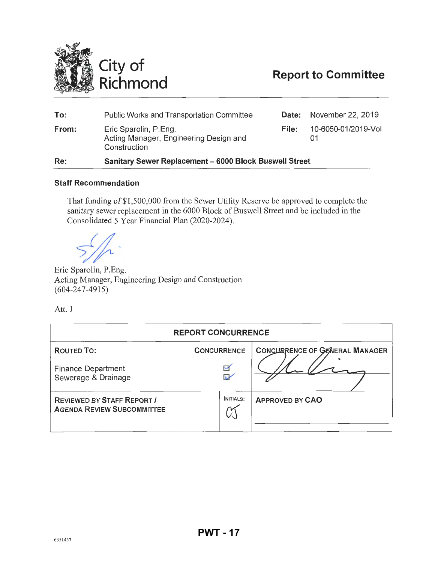<span id="page-16-0"></span>

# **Report to Committee**

| 10-6050-01/2019-Vol<br>Eric Sparolin, P.Eng.<br>From:<br>File:<br>Acting Manager, Engineering Design and<br>Construction |  |
|--------------------------------------------------------------------------------------------------------------------------|--|
|                                                                                                                          |  |
| November 22, 2019<br><b>Public Works and Transportation Committee</b><br>To:<br>Date:                                    |  |

#### Staff Recommendation

That funding of \$1 ,500,000 from the Sewer Utility Reserve be approved to complete the sanitary sewer replacement in the 6000 Block of Buswell Street and be included in the Consolidated 5 Year Financial Plan (2020-2024).

Eric Sparolin, P.Eng. Acting Manager, Engineering Design and Construction (604-247-4915)

Att. 1

| <b>REPORT CONCURRENCE</b>                                              |                    |                                       |  |  |  |
|------------------------------------------------------------------------|--------------------|---------------------------------------|--|--|--|
| <b>ROUTED TO:</b>                                                      | <b>CONCURRENCE</b> | <b>CONCURRENCE OF GENERAL MANAGER</b> |  |  |  |
| <b>Finance Department</b><br>$\checkmark$<br>Sewerage & Drainage<br>î  |                    |                                       |  |  |  |
| <b>REVIEWED BY STAFF REPORT /</b><br><b>AGENDA REVIEW SUBCOMMITTEE</b> | INITIALS:          | <b>APPROVED BY CAO</b>                |  |  |  |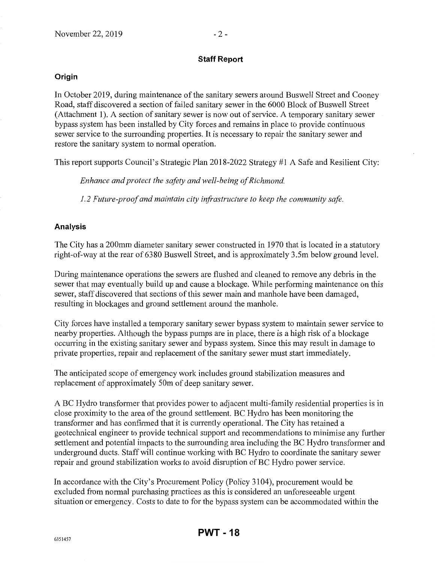### **Staff Report**

#### **Origin**

In October 2019, during maintenance of the sanitary sewers around Buswell Street and Cooney Road, staff discovered a section of failed sanitary sewer in the 6000 Block of Buswell Street (Attachment 1). A section of sanitary sewer is now out of service. A temporary sanitary sewer bypass system has been installed by City forces and remains in place to provide continuous sewer service to the surrounding properties. It is necessary to repair the sanitary sewer and restore the sanitary system to normal operation.

This report supports Council's Strategic Plan 2018-2022 Strategy #1 A Safe and Resilient City:

*Enhance and protect the safety and well-being of Richmond.* 

*I.2 Future-proof and maintain city infrastructure to keep the community safe.* 

### **Analysis**

The City has a 200mm diameter sanitary sewer constructed in 1970 that is located in a statutory right-of-way at the rear of 6380 Buswell Street, and is approximately 3.5m below ground level.

During maintenance operations the sewers are flushed and cleaned to remove any debris in the sewer that may eventually build up and cause a blockage. While performing maintenance on this sewer, staff discovered that sections of this sewer main and manhole have been damaged, resulting in blockages and ground settlement around the manhole.

City forces have installed a temporary sanitary sewer bypass system to maintain sewer service to nearby properties. Although the bypass pumps are in place, there is a high risk of a blockage occurring in the existing sanitary sewer and bypass system. Since this may result in damage to private properties, repair and replacement of the sanitary sewer must start immediately.

The anticipated scope of emergency work includes ground stabilization measures and replacement of approximately 50m of deep sanitary sewer.

A BC Hydro transformer that provides power to adjacent multi-family residential properties is in close proximity to the area of the ground settlement. BC Hydro has been monitoring the transformer and has confirmed that it is currently operational. The City has retained a geotechnical engineer to provide technical support and recommendations to minimise any further settlement and potential impacts to the surrounding area including the BC Hydro transformer and underground ducts. Staff will continue working with BC Hydro to coordinate the sanitary sewer repair and ground stabilization works to avoid disruption of BC Hydro power service.

In accordance with the City's Procurement Policy (Policy 3104), procurement would be excluded from normal purchasing practices as this is considered an unforeseeable urgent situation or emergency. Costs to date to for the bypass system can be accommodated within the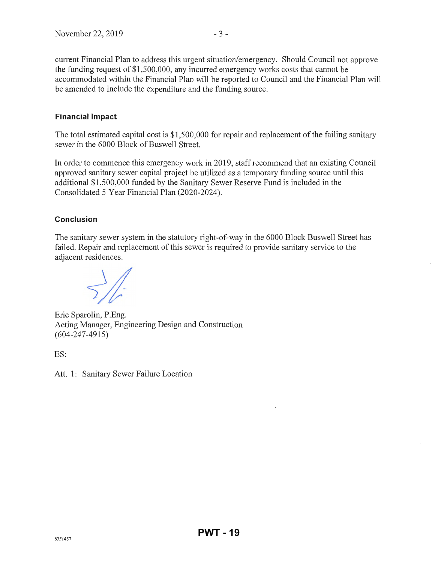current Financial Plan to address this urgent situation/emergency. Should Council not approve the funding request of \$1,500,000, any incuned emergency works costs that cannot be accommodated within the Financial Plan will be reported to Council and the Financial Plan will be amended to include the expenditure and the funding source.

### **Financial Impact**

The total estimated capital cost is \$1,500,000 for repair and replacement of the failing sanitary sewer in the 6000 Block of Buswell Street.

In order to commence this emergency work in 2019, staff recommend that an existing Council approved sanitary sewer capital project be utilized as a temporary funding source until this additional \$1 ,500,000 funded by the Sanitary Sewer Reserve Fund is included in the Consolidated 5 Year Financial Plan (2020-2024 ).

### **Conclusion**

The sanitary sewer system in the statutory right-of-way in the 6000 Block Buswell Street has failed. Repair and replacement of this sewer is required to provide sanitary service to the adjacent residences.

 $\frac{1}{2}$ 

Eric Sparolin, P.Eng. Acting Manager, Engineering Design and Construction (604-247-4915)

ES:

Att. 1: Sanitary Sewer Failure Location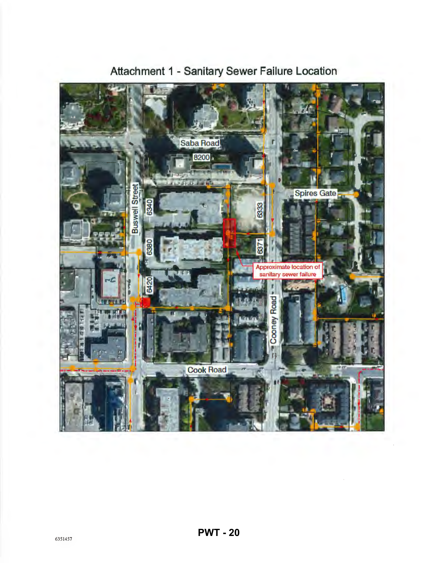

# **Attachment 1 -Sanitary Sewer Failure Location**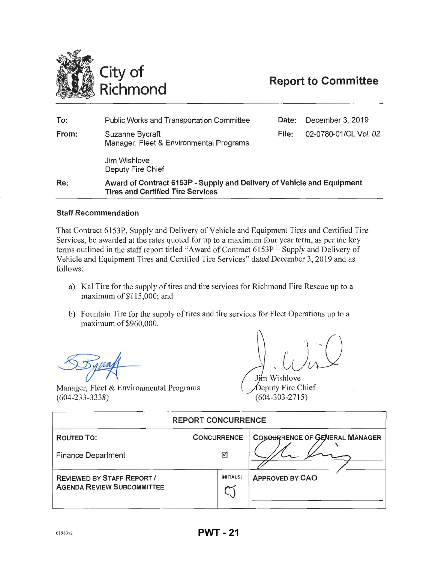<span id="page-20-0"></span>

# **Report to Committee**

| To:   | <b>Public Works and Transportation Committee</b>                                                                   | Date: | December 3, 2019      |
|-------|--------------------------------------------------------------------------------------------------------------------|-------|-----------------------|
| From: | Suzanne Bycraft<br>Manager, Fleet & Environmental Programs                                                         | File: | 02-0780-01/CL Vol. 02 |
|       | Jim Wishlove<br>Deputy Fire Chief                                                                                  |       |                       |
| Re:   | Award of Contract 6153P - Supply and Delivery of Vehicle and Equipment<br><b>Tires and Certified Tire Services</b> |       |                       |

#### **Staff Recommendation**

That Contract 6153P, Supply and Delivery of Vehicle and Equipment Tires and Certified Tire Services, be awarded at the rates quoted for up to a maximum four year term, as per the key terms outlined in the staff report titled "Award of Contract 6153P- Supply and Delivery of Vehicle and Equipment Tires and Certified Tire Services" dated December 3, 2019 and as follows:

- a) Kal Tire for the supply of tires and tire services for Richmond Fire Rescue up to a maximum of\$115,000; and
- b) Fountain Tire for the supply of tires and tire services for Fleet Operations up to a maximum of \$960,000.

Manager, Fleet & Environmental Programs (604-233-3338)

Jim Wishlove Deputy Fire Chief (604-303-2715)

| <b>REPORT CONCURRENCE</b>                                              |                    |                                |  |  |
|------------------------------------------------------------------------|--------------------|--------------------------------|--|--|
| <b>ROUTED TO:</b>                                                      | <b>CONCURRENCE</b> | CONGURRENCE OF GENERAL MANAGER |  |  |
| ☑<br><b>Finance Department</b>                                         |                    |                                |  |  |
| <b>REVIEWED BY STAFF REPORT /</b><br><b>AGENDA REVIEW SUBCOMMITTEE</b> | <b>INITIALS:</b>   | <b>APPROVED BY CAO</b>         |  |  |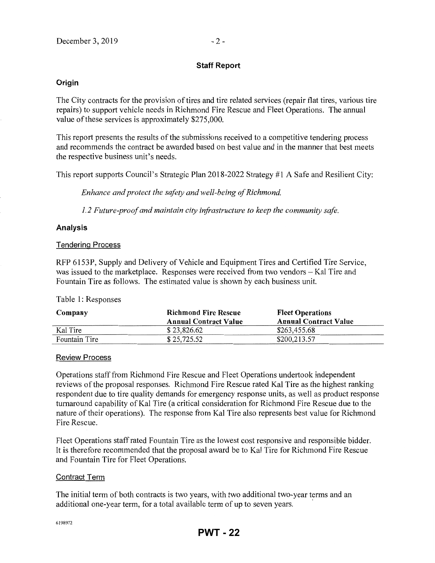#### Staff Report

#### **Origin**

The City contracts for the provision of tires and tire related services (repair flat tires, various tire repairs) to support vehicle needs in Richmond Fire Rescue and Fleet Operations. The annual value of these services is approximately \$275,000.

This report presents the results of the submissions received to a competitive tendering process and recommends the contract be awarded based on best value and in the manner that best meets the respective business unit's needs.

This report supports Council's Strategic Plan 2018-2022 Strategy #1 A Safe and Resilient City:

*Enhance and protect the safety and well-being of Richmond.* 

*1. 2 Future-proof and maintain city infrastructure to keep the community safe.* 

#### Analysis

#### Tendering Process

RFP 6153P, Supply and Delivery of Vehicle and Equipment Tires and Certified Tire Service, was issued to the marketplace. Responses were received from two vendors - Kal Tire and Fountain Tire as follows. The estimated value is shown by each business unit.

#### Table 1: Responses

| Company       | <b>Richmond Fire Rescue</b><br><b>Annual Contract Value</b> | <b>Fleet Operations</b><br><b>Annual Contract Value</b> |
|---------------|-------------------------------------------------------------|---------------------------------------------------------|
| Kal Tire      | \$23,826.62                                                 | \$263,455.68                                            |
| Fountain Tire | \$25,725.52                                                 | \$200,213.57                                            |

#### Review Process

Operations staff from Richmond Fire Rescue and Fleet Operations undertook independent reviews of the proposal responses. Richmond Fire Rescue rated Kal Tire as the highest ranking respondent due to tire quality demands for emergency response units, as well as product response turnaround capability ofKal Tire (a critical consideration for Richmond Fire Rescue due to the nature of their operations). The response from Kal Tire also represents best value for Richmond Fire Rescue.

Fleet Operations staff rated Fountain Tire as the lowest cost responsive and responsible bidder. It is therefore recommended that the proposal award be to Kal Tire for Richmond Fire Rescue and Fountain Tire for Fleet Operations.

#### Contract Term

The initial term of both contracts is two years, with two additional two-year terms and an additional one-year term, for a total available term of up to seven years.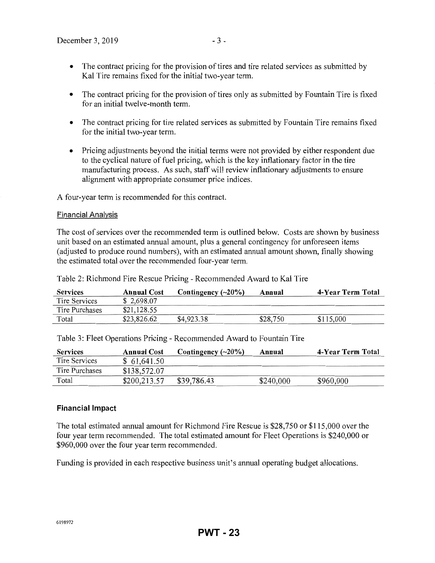- The contract pricing for the provision of tires and tire related services as submitted by Kal Tire remains fixed for the initial two-year term.
- The contract pricing for the provision of tires only as submitted by Fountain Tire is fixed for an initial twelve-month term.
- The contract pricing for tire related services as submitted by Fountain Tire remains fixed for the initial two-year term.
- Pricing adjustments beyond the initial terms were not provided by either respondent due to the cyclical nature of fuel pricing, which is the key inflationary factor in the tire manufacturing process. As such, staff will review inflationary adjustments to ensure alignment with appropriate consumer price indices.

A four-year term is recommended for this contract.

#### Financial Analysis

The cost of services over the recommended term is outlined below. Costs are shown by business unit based on an estimated annual amount, plus a general contingency for unforeseen items (adjusted to produce round numbers), with an estimated annual amount shown, finally showing the estimated total over the recommended four-year term.

| <b>Services</b> | <b>Annual Cost</b> | Contingency $(\sim 20\%)$ | Annual   | 4-Year Term Total |
|-----------------|--------------------|---------------------------|----------|-------------------|
| Tire Services   | \$2,698.07         |                           |          |                   |
| Tire Purchases  | \$21,128.55        |                           |          |                   |
| Total           | \$23,826.62        | \$4,923.38                | \$28,750 | \$115,000         |

| <b>Services</b> | <b>Annual Cost</b> | Contingency $(\sim 20\%)$ | Annual    | 4-Year Term Total |
|-----------------|--------------------|---------------------------|-----------|-------------------|
| Tire Services   | \$61,641.50        |                           |           |                   |
| Tire Purchases  | \$138,572.07       |                           |           |                   |
| Total           | \$200,213.57       | \$39,786.43               | \$240,000 | \$960,000         |

Table 3: Fleet Operations Pricing- Recommended Award to Fountain Tire

Table 2: Richmond Fire Rescue Pricing- Recommended Award to Kal Tire

#### **Financial** Impact

The total estimated annual amount for Richmond Fire Rescue is \$28,750 or \$115,000 over the four year term recommended. The total estimated amount for Fleet Operations is \$240,000 or \$960,000 over the four year term recommended.

Funding is provided in each respective business unit's annual operating budget allocations.